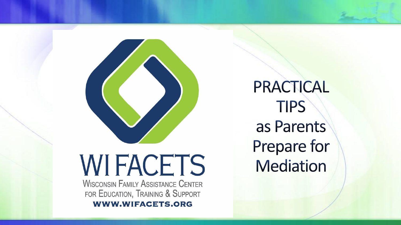

# **WIFACETS**

**WISCONSIN FAMILY ASSISTANCE CENTER** FOR EDUCATION, TRAINING & SUPPORT

**WWW.WIFACETS.ORG** 

PRACTICAL **TIPS** as Parents Prepare for **Mediation**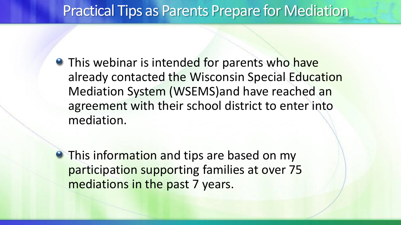#### Practical Tips as Parents Prepare for Mediation

**• This webinar is intended for parents who have** already contacted the Wisconsin Special Education Mediation System (WSEMS)and have reached an agreement with their school district to enter into mediation.

**• This information and tips are based on my** participation supporting families at over 75 mediations in the past 7 years.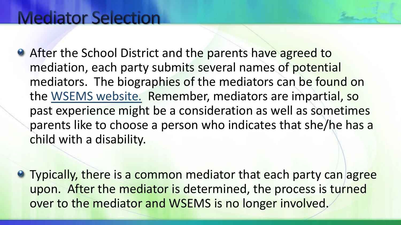#### **Mediator Selection**

- **After the School District and the parents have agreed to** mediation, each party submits several names of potential mediators. The biographies of the mediators can be found on the [WSEMS website.](wsems.us) Remember, mediators are impartial, so past experience might be a consideration as well as sometimes parents like to choose a person who indicates that she/he has a child with a disability.
- **Typically, there is a common mediator that each party can agree** upon. After the mediator is determined, the process is turned over to the mediator and WSEMS is no longer involved.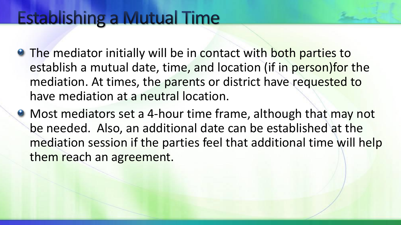#### **Establishing a Mutual Time**

- **The mediator initially will be in contact with both parties to** establish a mutual date, time, and location (if in person)for the mediation. At times, the parents or district have requested to have mediation at a neutral location.
- Most mediators set a 4-hour time frame, although that may not be needed. Also, an additional date can be established at the mediation session if the parties feel that additional time will help them reach an agreement.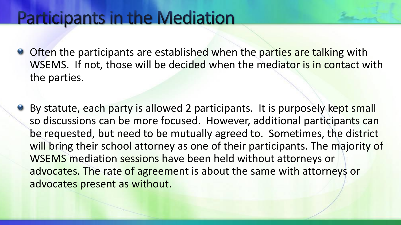#### **Participants in the Mediation**

- Often the participants are established when the parties are talking with WSEMS. If not, those will be decided when the mediator is in contact with the parties.
- **By statute, each party is allowed 2 participants. It is purposely kept small** so discussions can be more focused. However, additional participants can be requested, but need to be mutually agreed to. Sometimes, the district will bring their school attorney as one of their participants. The majority of WSEMS mediation sessions have been held without attorneys or advocates. The rate of agreement is about the same with attorneys or advocates present as without.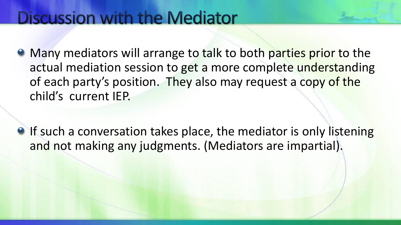#### **Discussion with the Mediator**

- **Many mediators will arrange to talk to both parties prior to the** actual mediation session to get a more complete understanding of each party's position. They also may request a copy of the child's current IEP.
- **If such a conversation takes place, the mediator is only listening** and not making any judgments. (Mediators are impartial).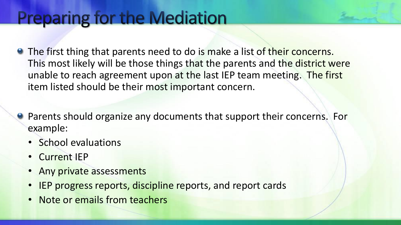## **Preparing for the Mediation**

- **•** The first thing that parents need to do is make a list of their concerns. This most likely will be those things that the parents and the district were unable to reach agreement upon at the last IEP team meeting. The first item listed should be their most important concern.
- **Parents should organize any documents that support their concerns. For** example:
	- School evaluations
	- Current IEP
	- Any private assessments
	- IEP progress reports, discipline reports, and report cards
	- Note or emails from teachers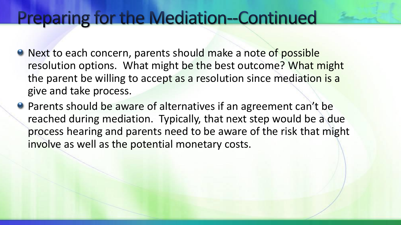#### **Preparing for the Mediation--Continued**

- **Next to each concern, parents should make a note of possible** resolution options. What might be the best outcome? What might the parent be willing to accept as a resolution since mediation is a give and take process.
- Parents should be aware of alternatives if an agreement can't be reached during mediation. Typically, that next step would be a due process hearing and parents need to be aware of the risk that might involve as well as the potential monetary costs.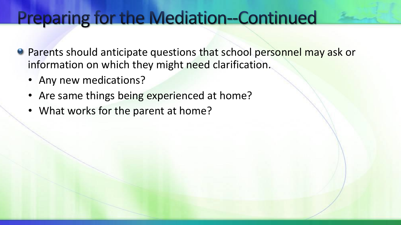#### **Preparing for the Mediation--Continued**

- Parents should anticipate questions that school personnel may ask or information on which they might need clarification.
	- Any new medications?
	- Are same things being experienced at home?
	- What works for the parent at home?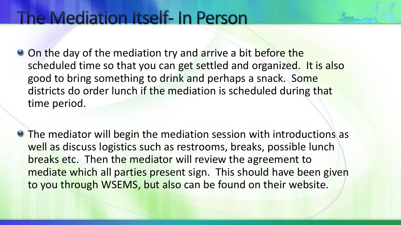#### The Mediation Itself- In Person

- On the day of the mediation try and arrive a bit before the scheduled time so that you can get settled and organized. It is also good to bring something to drink and perhaps a snack. Some districts do order lunch if the mediation is scheduled during that time period.
- **The mediator will begin the mediation session with introductions as** well as discuss logistics such as restrooms, breaks, possible lunch breaks etc. Then the mediator will review the agreement to mediate which all parties present sign. This should have been given to you through WSEMS, but also can be found on their website.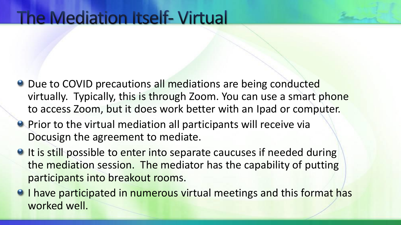#### **The Mediation Itself-Virtual**

- **Due to COVID precautions all mediations are being conducted** virtually. Typically, this is through Zoom. You can use a smart phone to access Zoom, but it does work better with an Ipad or computer.
- **Prior to the virtual mediation all participants will receive via** Docusign the agreement to mediate.
- <sup>o</sup> It is still possible to enter into separate caucuses if needed during the mediation session. The mediator has the capability of putting participants into breakout rooms.
- <sup>o</sup> I have participated in numerous virtual meetings and this format has worked well.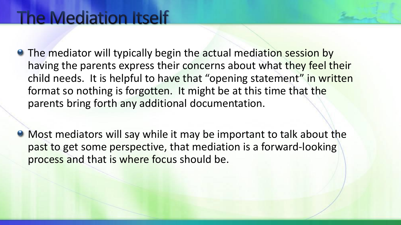- **The mediator will typically begin the actual mediation session by** having the parents express their concerns about what they feel their child needs. It is helpful to have that "opening statement" in written format so nothing is forgotten. It might be at this time that the parents bring forth any additional documentation.
- Most mediators will say while it may be important to talk about the past to get some perspective, that mediation is a forward-looking process and that is where focus should be.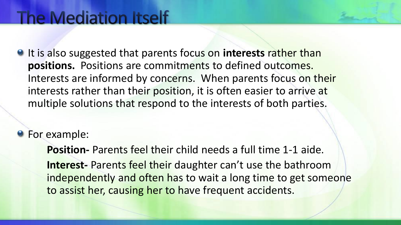It is also suggested that parents focus on **interests** rather than **positions.** Positions are commitments to defined outcomes. Interests are informed by concerns. When parents focus on their interests rather than their position, it is often easier to arrive at multiple solutions that respond to the interests of both parties.

**•** For example:

**Position-** Parents feel their child needs a full time 1-1 aide. **Interest-** Parents feel their daughter can't use the bathroom independently and often has to wait a long time to get someone to assist her, causing her to have frequent accidents.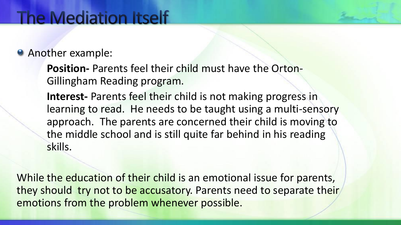#### **Another example:**

**Position-** Parents feel their child must have the Orton-Gillingham Reading program.

**Interest-** Parents feel their child is not making progress in learning to read. He needs to be taught using a multi-sensory approach. The parents are concerned their child is moving to the middle school and is still quite far behind in his reading skills.

While the education of their child is an emotional issue for parents, they should try not to be accusatory. Parents need to separate their emotions from the problem whenever possible.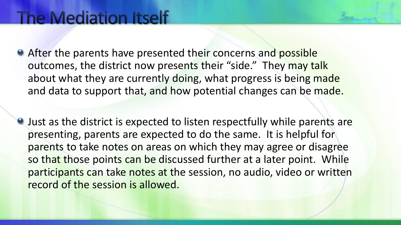- After the parents have presented their concerns and possible outcomes, the district now presents their "side." They may talk about what they are currently doing, what progress is being made and data to support that, and how potential changes can be made.
- Just as the district is expected to listen respectfully while parents are presenting, parents are expected to do the same. It is helpful for parents to take notes on areas on which they may agree or disagree so that those points can be discussed further at a later point. While participants can take notes at the session, no audio, video or written record of the session is allowed.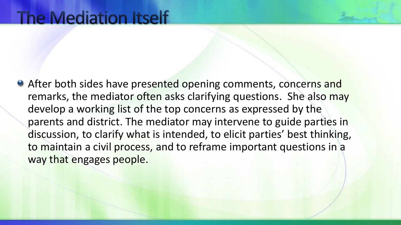**• After both sides have presented opening comments, concerns and** remarks, the mediator often asks clarifying questions. She also may develop a working list of the top concerns as expressed by the parents and district. The mediator may intervene to guide parties in discussion, to clarify what is intended, to elicit parties' best thinking, to maintain a civil process, and to reframe important questions in a way that engages people.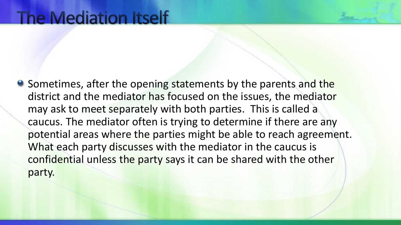**•** Sometimes, after the opening statements by the parents and the district and the mediator has focused on the issues, the mediator may ask to meet separately with both parties. This is called a caucus. The mediator often is trying to determine if there are any potential areas where the parties might be able to reach agreement. What each party discusses with the mediator in the caucus is confidential unless the party says it can be shared with the other party.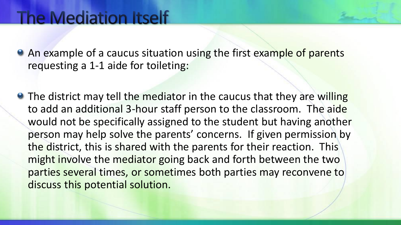• An example of a caucus situation using the first example of parents requesting a 1-1 aide for toileting:

• The district may tell the mediator in the caucus that they are willing to add an additional 3-hour staff person to the classroom. The aide would not be specifically assigned to the student but having another person may help solve the parents' concerns. If given permission by the district, this is shared with the parents for their reaction. This might involve the mediator going back and forth between the two parties several times, or sometimes both parties may reconvene to discuss this potential solution.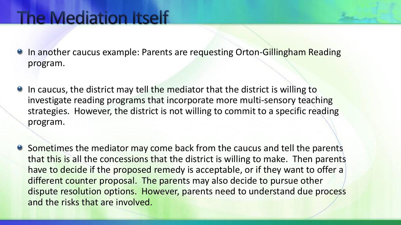- **In another caucus example: Parents are requesting Orton-Gillingham Reading** program.
- **In caucus, the district may tell the mediator that the district is willing to** investigate reading programs that incorporate more multi-sensory teaching strategies. However, the district is not willing to commit to a specific reading program.
- **•** Sometimes the mediator may come back from the caucus and tell the parents that this is all the concessions that the district is willing to make. Then parents have to decide if the proposed remedy is acceptable, or if they want to offer a different counter proposal. The parents may also decide to pursue other dispute resolution options. However, parents need to understand due process and the risks that are involved.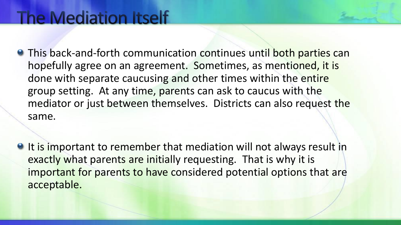- **This back-and-forth communication continues until both parties can** hopefully agree on an agreement. Sometimes, as mentioned, it is done with separate caucusing and other times within the entire group setting. At any time, parents can ask to caucus with the mediator or just between themselves. Districts can also request the same.
- If is important to remember that mediation will not always result in exactly what parents are initially requesting. That is why it is important for parents to have considered potential options that are acceptable.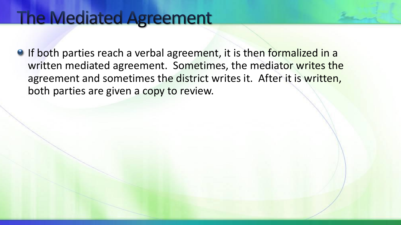#### **The Mediated Agreement**

**O** If both parties reach a verbal agreement, it is then formalized in a written mediated agreement. Sometimes, the mediator writes the agreement and sometimes the district writes it. After it is written, both parties are given a copy to review.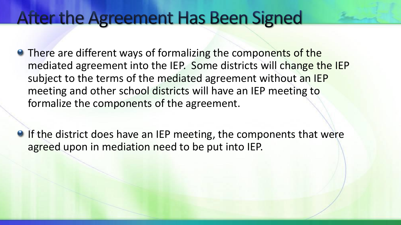#### After the Agreement Has Been Signed

- **There are different ways of formalizing the components of the** mediated agreement into the IEP. Some districts will change the IEP subject to the terms of the mediated agreement without an IEP meeting and other school districts will have an IEP meeting to formalize the components of the agreement.
- **O** If the district does have an IEP meeting, the components that were agreed upon in mediation need to be put into IEP.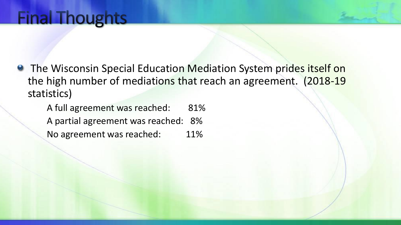**• The Wisconsin Special Education Mediation System prides itself on** the high number of mediations that reach an agreement. (2018-19 statistics)

A full agreement was reached: 81% A partial agreement was reached: 8% No agreement was reached: 11%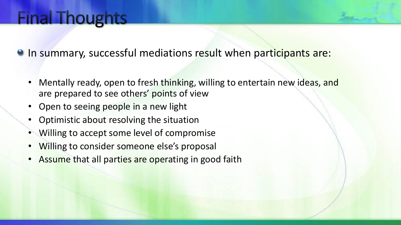### **Final Thoughts**

**In summary, successful mediations result when participants are:** 

- Mentally ready, open to fresh thinking, willing to entertain new ideas, and are prepared to see others' points of view
- Open to seeing people in a new light
- Optimistic about resolving the situation
- Willing to accept some level of compromise
- Willing to consider someone else's proposal
- Assume that all parties are operating in good faith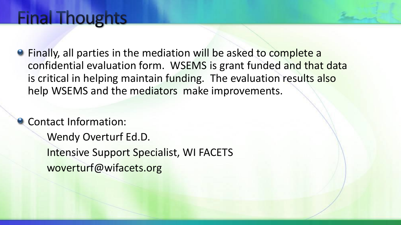#### **Final Thoughts**

Finally, all parties in the mediation will be asked to complete a confidential evaluation form. WSEMS is grant funded and that data is critical in helping maintain funding. The evaluation results also help WSEMS and the mediators make improvements.

**Contact Information:** Wendy Overturf Ed.D. Intensive Support Specialist, WI FACETS woverturf@wifacets.org